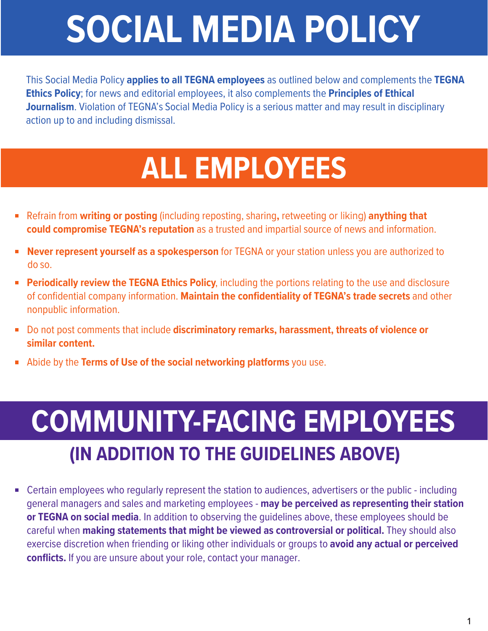## **SOCIAL MEDIA POLICY**

This Social Media Policy **applies to all TEGNA employees** as outlined below and complements the **TEGNA Ethics Policy**; for news and editorial employees, it also complements the **Principles of Ethical Journalism**. Violation of TEGNA's Social Media Policy is a serious matter and may result in disciplinary action up to and including dismissal.

## **ALL EMPLOYEES**

- Refrain from **writing or posting** (including reposting, sharing**,** retweeting or liking) **anything that could compromise TEGNA's reputation** as a trusted and impartial source of news and information.
- **Never represent yourself as a spokesperson** for TEGNA or your station unless you are authorized to do so.
- **Periodically review the TEGNA Ethics Policy**, including the portions relating to the use and disclosure of confidential company information. **Maintain the confidentiality of TEGNA's trade secrets** and other nonpublic information.
- Do not post comments that include **discriminatory remarks, harassment, threats of violence or similar content.**
- Abide by the **Terms of Use of the social networking platforms** you use.

## **COMMUNITY-FACING EMPLOYEES (IN ADDITION TO THE GUIDELINES ABOVE)**

■ Certain employees who regularly represent the station to audiences, advertisers or the public - including general managers and sales and marketing employees - **may be perceived as representing their station or TEGNA on social media**. In addition to observing the guidelines above, these employees should be careful when **making statements that might be viewed as controversial or political.** They should also exercise discretion when friending or liking other individuals or groups to **avoid any actual or perceived conflicts.** If you are unsure about your role, contact your manager.